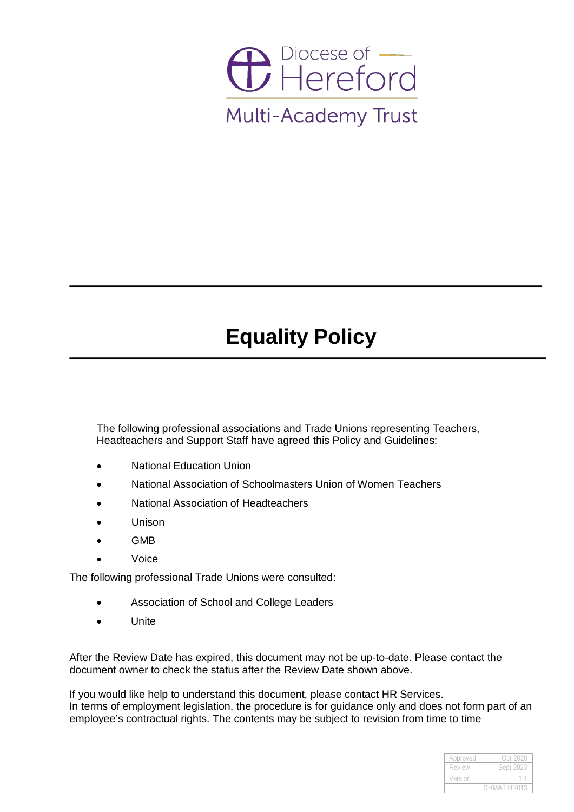

# **Equality Policy**

The following professional associations and Trade Unions representing Teachers, Headteachers and Support Staff have agreed this Policy and Guidelines:

- National Education Union
- National Association of Schoolmasters Union of Women Teachers
- National Association of Headteachers
- Unison
- GMB
- Voice

The following professional Trade Unions were consulted:

- Association of School and College Leaders
- Unite

After the Review Date has expired, this document may not be up-to-date. Please contact the document owner to check the status after the Review Date shown above.

If you would like help to understand this document, please contact HR Services. In terms of employment legislation, the procedure is for guidance only and does not form part of an employee's contractual rights. The contents may be subject to revision from time to time

| Approved    | Oct 2020  |
|-------------|-----------|
| Review      | Sept 2023 |
| Version     |           |
| DHMAT HR013 |           |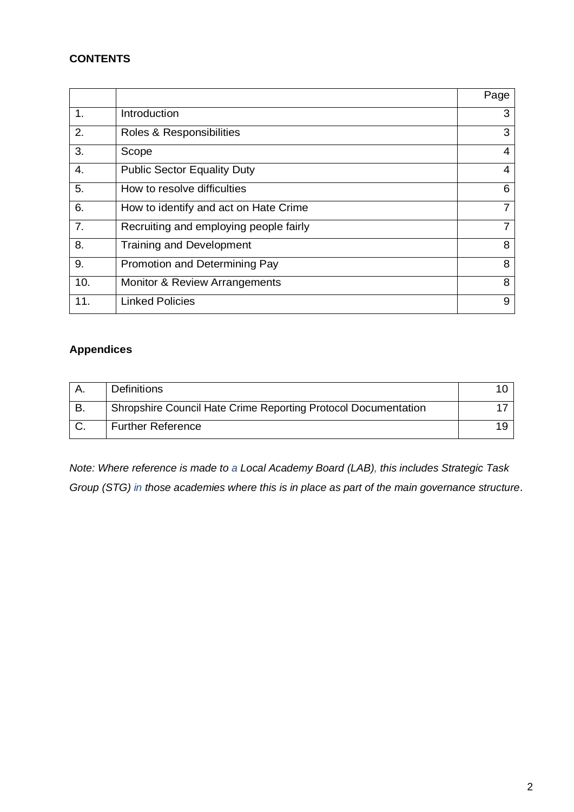# **CONTENTS**

|     |                                        | Page |
|-----|----------------------------------------|------|
| 1.  | Introduction                           | 3    |
| 2.  | Roles & Responsibilities               | 3    |
| 3.  | Scope                                  | 4    |
| 4.  | <b>Public Sector Equality Duty</b>     | 4    |
| 5.  | How to resolve difficulties            | 6    |
| 6.  | How to identify and act on Hate Crime  | 7    |
| 7.  | Recruiting and employing people fairly | 7    |
| 8.  | <b>Training and Development</b>        | 8    |
| 9.  | Promotion and Determining Pay          | 8    |
| 10. | Monitor & Review Arrangements          | 8    |
| 11. | <b>Linked Policies</b>                 | 9    |

# **Appendices**

| <b>Definitions</b>                                             |  |
|----------------------------------------------------------------|--|
| Shropshire Council Hate Crime Reporting Protocol Documentation |  |
| <b>Further Reference</b>                                       |  |

*Note: Where reference is made to a Local Academy Board (LAB), this includes Strategic Task Group (STG) in those academies where this is in place as part of the main governance structure*.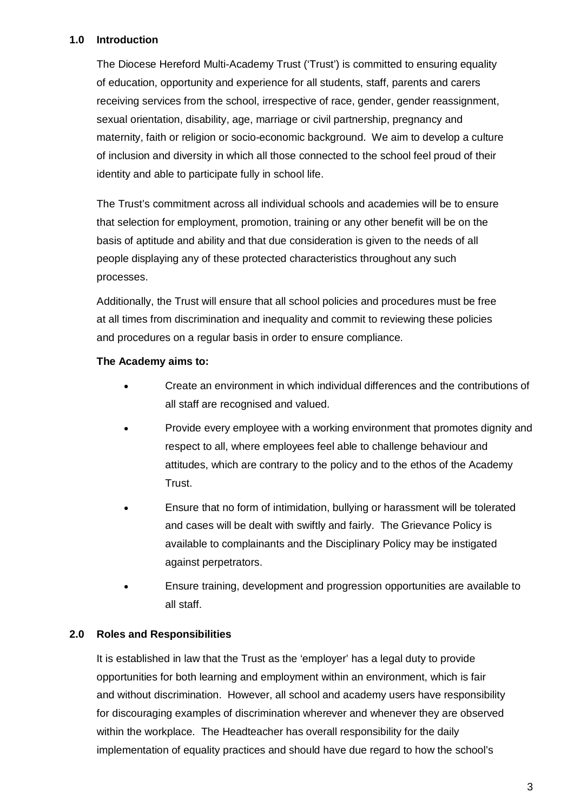# **1.0 Introduction**

The Diocese Hereford Multi-Academy Trust ('Trust') is committed to ensuring equality of education, opportunity and experience for all students, staff, parents and carers receiving services from the school, irrespective of race, gender, gender reassignment, sexual orientation, disability, age, marriage or civil partnership, pregnancy and maternity, faith or religion or socio-economic background. We aim to develop a culture of inclusion and diversity in which all those connected to the school feel proud of their identity and able to participate fully in school life.

The Trust's commitment across all individual schools and academies will be to ensure that selection for employment, promotion, training or any other benefit will be on the basis of aptitude and ability and that due consideration is given to the needs of all people displaying any of these protected characteristics throughout any such processes.

Additionally, the Trust will ensure that all school policies and procedures must be free at all times from discrimination and inequality and commit to reviewing these policies and procedures on a regular basis in order to ensure compliance.

## **The Academy aims to:**

- Create an environment in which individual differences and the contributions of all staff are recognised and valued.
- Provide every employee with a working environment that promotes dignity and respect to all, where employees feel able to challenge behaviour and attitudes, which are contrary to the policy and to the ethos of the Academy Trust.
- Ensure that no form of intimidation, bullying or harassment will be tolerated and cases will be dealt with swiftly and fairly. The Grievance Policy is available to complainants and the Disciplinary Policy may be instigated against perpetrators.
- Ensure training, development and progression opportunities are available to all staff.

# **2.0 Roles and Responsibilities**

It is established in law that the Trust as the 'employer' has a legal duty to provide opportunities for both learning and employment within an environment, which is fair and without discrimination. However, all school and academy users have responsibility for discouraging examples of discrimination wherever and whenever they are observed within the workplace. The Headteacher has overall responsibility for the daily implementation of equality practices and should have due regard to how the school's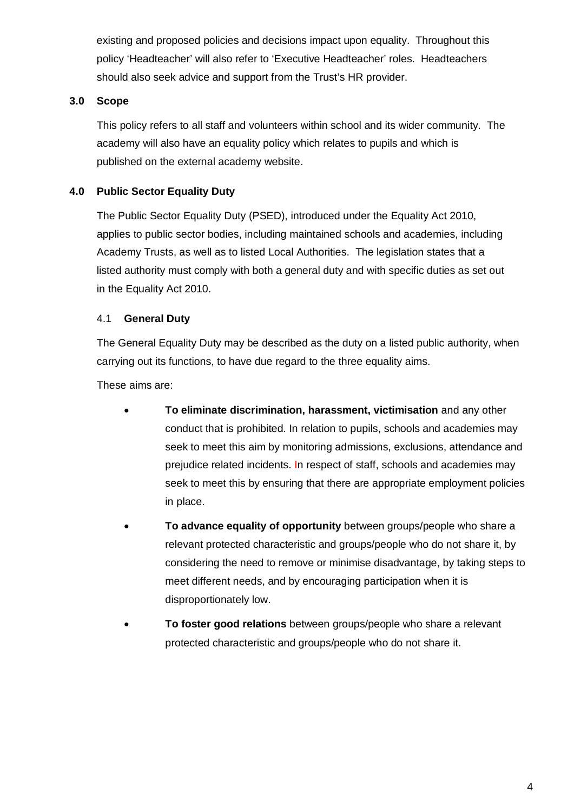existing and proposed policies and decisions impact upon equality. Throughout this policy 'Headteacher' will also refer to 'Executive Headteacher' roles. Headteachers should also seek advice and support from the Trust's HR provider.

# **3.0 Scope**

This policy refers to all staff and volunteers within school and its wider community. The academy will also have an equality policy which relates to pupils and which is published on the external academy website.

# **4.0 Public Sector Equality Duty**

The Public Sector Equality Duty (PSED), introduced under the Equality Act 2010, applies to public sector bodies, including maintained schools and academies, including Academy Trusts, as well as to listed Local Authorities. The legislation states that a listed authority must comply with both a general duty and with specific duties as set out in the Equality Act 2010.

# 4.1 **General Duty**

The General Equality Duty may be described as the duty on a listed public authority, when carrying out its functions, to have due regard to the three equality aims.

These aims are:

- **To eliminate discrimination, harassment, victimisation** and any other conduct that is prohibited. In relation to pupils, schools and academies may seek to meet this aim by monitoring admissions, exclusions, attendance and prejudice related incidents. In respect of staff, schools and academies may seek to meet this by ensuring that there are appropriate employment policies in place.
- **To advance equality of opportunity** between groups/people who share a relevant protected characteristic and groups/people who do not share it, by considering the need to remove or minimise disadvantage, by taking steps to meet different needs, and by encouraging participation when it is disproportionately low.
- **To foster good relations** between groups/people who share a relevant protected characteristic and groups/people who do not share it.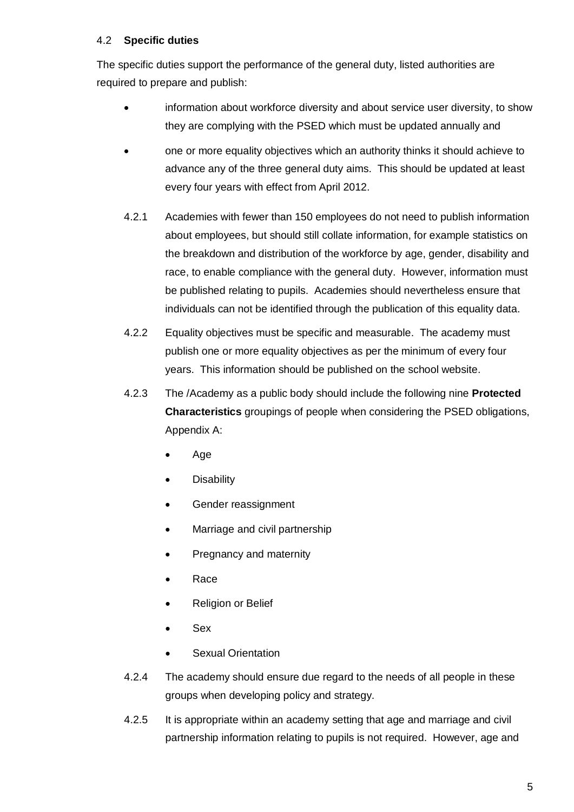# 4.2 **Specific duties**

The specific duties support the performance of the general duty, listed authorities are required to prepare and publish:

- information about workforce diversity and about service user diversity, to show they are complying with the PSED which must be updated annually and
- one or more equality objectives which an authority thinks it should achieve to advance any of the three general duty aims. This should be updated at least every four years with effect from April 2012.
- 4.2.1 Academies with fewer than 150 employees do not need to publish information about employees, but should still collate information, for example statistics on the breakdown and distribution of the workforce by age, gender, disability and race, to enable compliance with the general duty. However, information must be published relating to pupils. Academies should nevertheless ensure that individuals can not be identified through the publication of this equality data.
- 4.2.2 Equality objectives must be specific and measurable. The academy must publish one or more equality objectives as per the minimum of every four years. This information should be published on the school website.
- 4.2.3 The /Academy as a public body should include the following nine **Protected Characteristics** groupings of people when considering the PSED obligations, Appendix A:
	- Age
	- **Disability**
	- Gender reassignment
	- Marriage and civil partnership
	- Pregnancy and maternity
	- Race
	- Religion or Belief
	- Sex
	- Sexual Orientation
- 4.2.4 The academy should ensure due regard to the needs of all people in these groups when developing policy and strategy.
- 4.2.5 It is appropriate within an academy setting that age and marriage and civil partnership information relating to pupils is not required. However, age and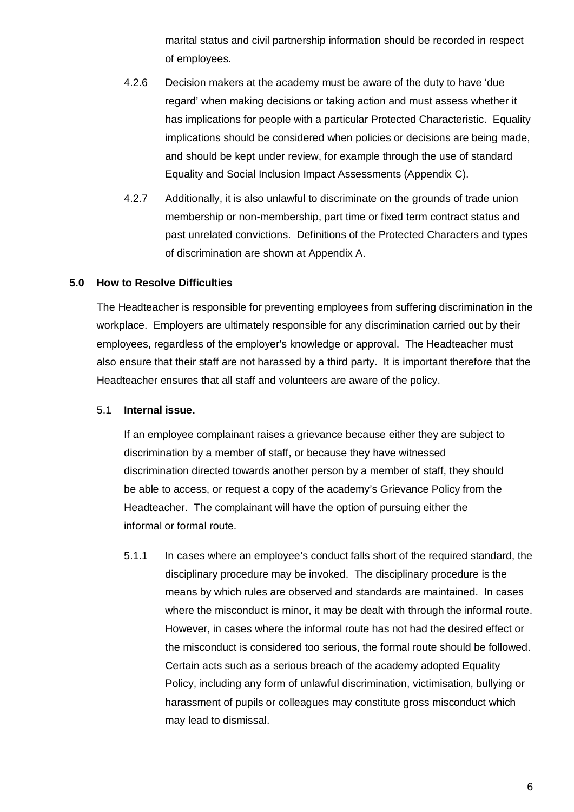marital status and civil partnership information should be recorded in respect of employees.

- 4.2.6 Decision makers at the academy must be aware of the duty to have 'due regard' when making decisions or taking action and must assess whether it has implications for people with a particular Protected Characteristic. Equality implications should be considered when policies or decisions are being made, and should be kept under review, for example through the use of standard Equality and Social Inclusion Impact Assessments (Appendix C).
- 4.2.7 Additionally, it is also unlawful to discriminate on the grounds of trade union membership or non-membership, part time or fixed term contract status and past unrelated convictions. Definitions of the Protected Characters and types of discrimination are shown at Appendix A.

## **5.0 How to Resolve Difficulties**

The Headteacher is responsible for preventing employees from suffering discrimination in the workplace. Employers are ultimately responsible for any discrimination carried out by their employees, regardless of the employer's knowledge or approval. The Headteacher must also ensure that their staff are not harassed by a third party. It is important therefore that the Headteacher ensures that all staff and volunteers are aware of the policy.

#### 5.1 **Internal issue.**

If an employee complainant raises a grievance because either they are subject to discrimination by a member of staff, or because they have witnessed discrimination directed towards another person by a member of staff, they should be able to access, or request a copy of the academy's Grievance Policy from the Headteacher. The complainant will have the option of pursuing either the informal or formal route.

5.1.1 In cases where an employee's conduct falls short of the required standard, the disciplinary procedure may be invoked. The disciplinary procedure is the means by which rules are observed and standards are maintained. In cases where the misconduct is minor, it may be dealt with through the informal route. However, in cases where the informal route has not had the desired effect or the misconduct is considered too serious, the formal route should be followed. Certain acts such as a serious breach of the academy adopted Equality Policy, including any form of unlawful discrimination, victimisation, bullying or harassment of pupils or colleagues may constitute gross misconduct which may lead to dismissal.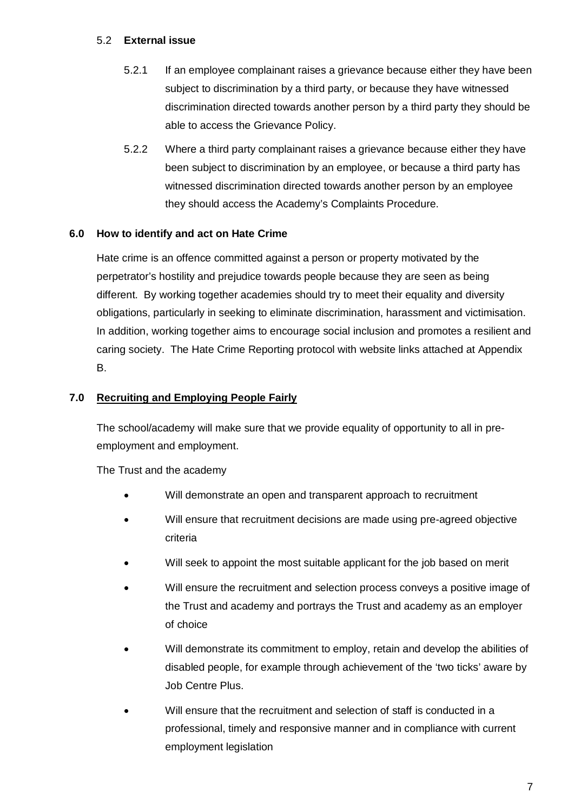# 5.2 **External issue**

- 5.2.1 If an employee complainant raises a grievance because either they have been subject to discrimination by a third party, or because they have witnessed discrimination directed towards another person by a third party they should be able to access the Grievance Policy.
- 5.2.2 Where a third party complainant raises a grievance because either they have been subject to discrimination by an employee, or because a third party has witnessed discrimination directed towards another person by an employee they should access the Academy's Complaints Procedure.

# **6.0 How to identify and act on Hate Crime**

Hate crime is an offence committed against a person or property motivated by the perpetrator's hostility and prejudice towards people because they are seen as being different. By working together academies should try to meet their equality and diversity obligations, particularly in seeking to eliminate discrimination, harassment and victimisation. In addition, working together aims to encourage social inclusion and promotes a resilient and caring society. The Hate Crime Reporting protocol with website links attached at Appendix B.

# **7.0 Recruiting and Employing People Fairly**

The school/academy will make sure that we provide equality of opportunity to all in preemployment and employment.

The Trust and the academy

- Will demonstrate an open and transparent approach to recruitment
- Will ensure that recruitment decisions are made using pre-agreed objective criteria
- Will seek to appoint the most suitable applicant for the job based on merit
- Will ensure the recruitment and selection process conveys a positive image of the Trust and academy and portrays the Trust and academy as an employer of choice
- Will demonstrate its commitment to employ, retain and develop the abilities of disabled people, for example through achievement of the 'two ticks' aware by Job Centre Plus.
- Will ensure that the recruitment and selection of staff is conducted in a professional, timely and responsive manner and in compliance with current employment legislation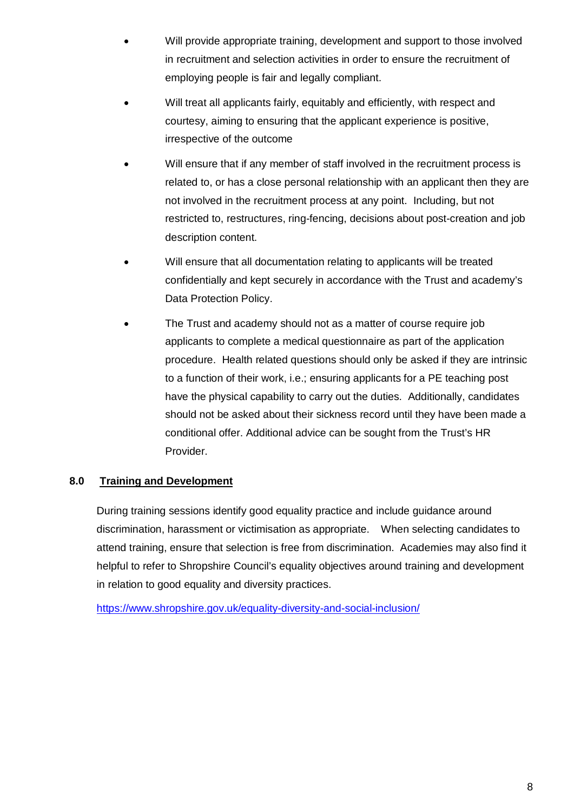- Will provide appropriate training, development and support to those involved in recruitment and selection activities in order to ensure the recruitment of employing people is fair and legally compliant.
- Will treat all applicants fairly, equitably and efficiently, with respect and courtesy, aiming to ensuring that the applicant experience is positive, irrespective of the outcome
- Will ensure that if any member of staff involved in the recruitment process is related to, or has a close personal relationship with an applicant then they are not involved in the recruitment process at any point. Including, but not restricted to, restructures, ring-fencing, decisions about post-creation and job description content.
- Will ensure that all documentation relating to applicants will be treated confidentially and kept securely in accordance with the Trust and academy's Data Protection Policy.
- The Trust and academy should not as a matter of course require job applicants to complete a medical questionnaire as part of the application procedure. Health related questions should only be asked if they are intrinsic to a function of their work, i.e.; ensuring applicants for a PE teaching post have the physical capability to carry out the duties. Additionally, candidates should not be asked about their sickness record until they have been made a conditional offer. Additional advice can be sought from the Trust's HR Provider.

# **8.0 Training and Development**

During training sessions identify good equality practice and include guidance around discrimination, harassment or victimisation as appropriate. When selecting candidates to attend training, ensure that selection is free from discrimination. Academies may also find it helpful to refer to Shropshire Council's equality objectives around training and development in relation to good equality and diversity practices.

<https://www.shropshire.gov.uk/equality-diversity-and-social-inclusion/>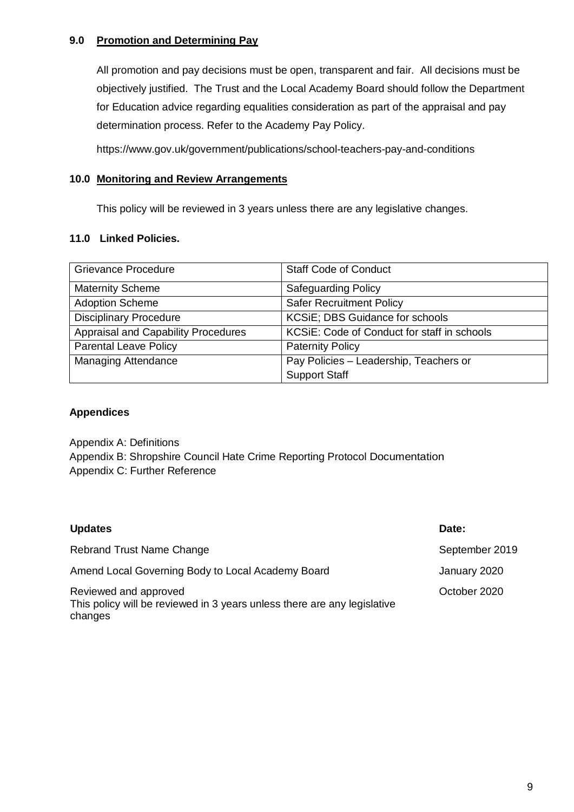# **9.0 Promotion and Determining Pay**

All promotion and pay decisions must be open, transparent and fair. All decisions must be objectively justified. The Trust and the Local Academy Board should follow the Department for Education advice regarding equalities consideration as part of the appraisal and pay determination process. Refer to the Academy Pay Policy.

https://www.gov.uk/government/publications/school-teachers-pay-and-conditions

# **10.0 Monitoring and Review Arrangements**

This policy will be reviewed in 3 years unless there are any legislative changes.

## **11.0 Linked Policies.**

| <b>Grievance Procedure</b>          | <b>Staff Code of Conduct</b>                |
|-------------------------------------|---------------------------------------------|
| <b>Maternity Scheme</b>             | <b>Safeguarding Policy</b>                  |
| <b>Adoption Scheme</b>              | <b>Safer Recruitment Policy</b>             |
| <b>Disciplinary Procedure</b>       | <b>KCSiE</b> ; DBS Guidance for schools     |
| Appraisal and Capability Procedures | KCSIE: Code of Conduct for staff in schools |
| <b>Parental Leave Policy</b>        | <b>Paternity Policy</b>                     |
| <b>Managing Attendance</b>          | Pay Policies - Leadership, Teachers or      |
|                                     | <b>Support Staff</b>                        |

# **Appendices**

Appendix A: Definitions Appendix B: Shropshire Council Hate Crime Reporting Protocol Documentation Appendix C: Further Reference

| <b>Updates</b>                                                                                               | Date:          |
|--------------------------------------------------------------------------------------------------------------|----------------|
| Rebrand Trust Name Change                                                                                    | September 2019 |
| Amend Local Governing Body to Local Academy Board                                                            | January 2020   |
| Reviewed and approved<br>This policy will be reviewed in 3 years unless there are any legislative<br>changes | October 2020   |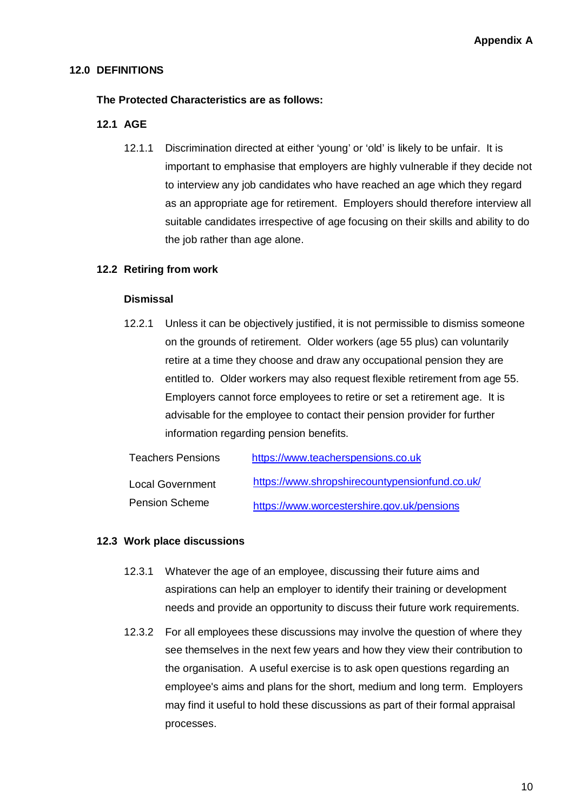# **12.0 DEFINITIONS**

# **The Protected Characteristics are as follows:**

# **12.1 AGE**

12.1.1 Discrimination directed at either 'young' or 'old' is likely to be unfair. It is important to emphasise that employers are highly vulnerable if they decide not to interview any job candidates who have reached an age which they regard as an appropriate age for retirement. Employers should therefore interview all suitable candidates irrespective of age focusing on their skills and ability to do the job rather than age alone.

# **12.2 Retiring from work**

#### **Dismissal**

12.2.1 Unless it can be objectively justified, it is not permissible to dismiss someone on the grounds of retirement. Older workers (age 55 plus) can voluntarily retire at a time they choose and draw any occupational pension they are entitled to. Older workers may also request flexible retirement from age 55. Employers cannot force employees to retire or set a retirement age. It is advisable for the employee to contact their pension provider for further information regarding pension benefits.

| <b>Teachers Pensions</b> | https://www.teacherspensions.co.uk             |
|--------------------------|------------------------------------------------|
| <b>Local Government</b>  | https://www.shropshirecountypensionfund.co.uk/ |
| <b>Pension Scheme</b>    | https://www.worcestershire.gov.uk/pensions     |

#### **12.3 Work place discussions**

- 12.3.1 Whatever the age of an employee, discussing their future aims and aspirations can help an employer to identify their training or development needs and provide an opportunity to discuss their future work requirements.
- 12.3.2 For all employees these discussions may involve the question of where they see themselves in the next few years and how they view their contribution to the organisation. A useful exercise is to ask open questions regarding an employee's aims and plans for the short, medium and long term. Employers may find it useful to hold these discussions as part of their formal appraisal processes.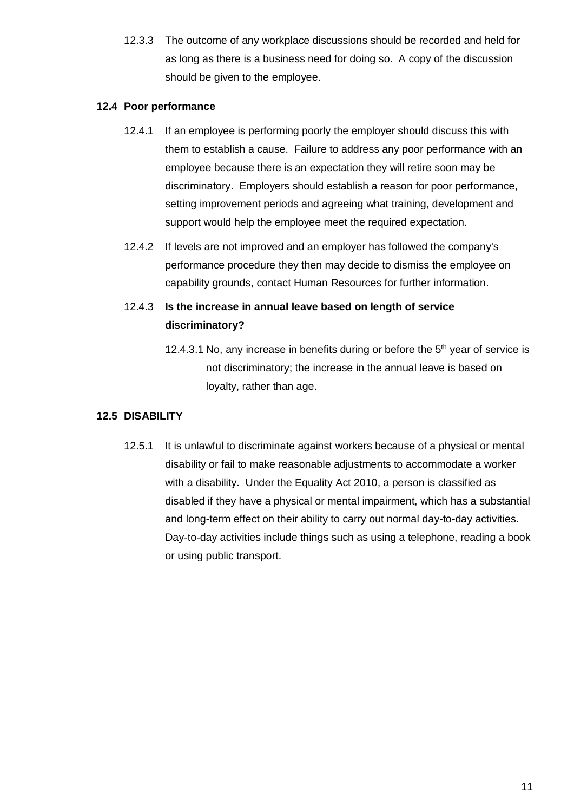12.3.3 The outcome of any workplace discussions should be recorded and held for as long as there is a business need for doing so. A copy of the discussion should be given to the employee.

## **12.4 Poor performance**

- 12.4.1 If an employee is performing poorly the employer should discuss this with them to establish a cause. Failure to address any poor performance with an employee because there is an expectation they will retire soon may be discriminatory. Employers should establish a reason for poor performance, setting improvement periods and agreeing what training, development and support would help the employee meet the required expectation.
- 12.4.2 If levels are not improved and an employer has followed the company's performance procedure they then may decide to dismiss the employee on capability grounds, contact Human Resources for further information.

# 12.4.3 **Is the increase in annual leave based on length of service discriminatory?**

12.4.3.1 No, any increase in benefits during or before the  $5<sup>th</sup>$  year of service is not discriminatory; the increase in the annual leave is based on loyalty, rather than age.

# **12.5 DISABILITY**

12.5.1 It is unlawful to discriminate against workers because of a physical or mental disability or fail to make reasonable adjustments to accommodate a worker with a disability. Under the Equality Act 2010, a person is classified as disabled if they have a physical or mental impairment, which has a substantial and long-term effect on their ability to carry out normal day-to-day activities. Day-to-day activities include things such as using a telephone, reading a book or using public transport.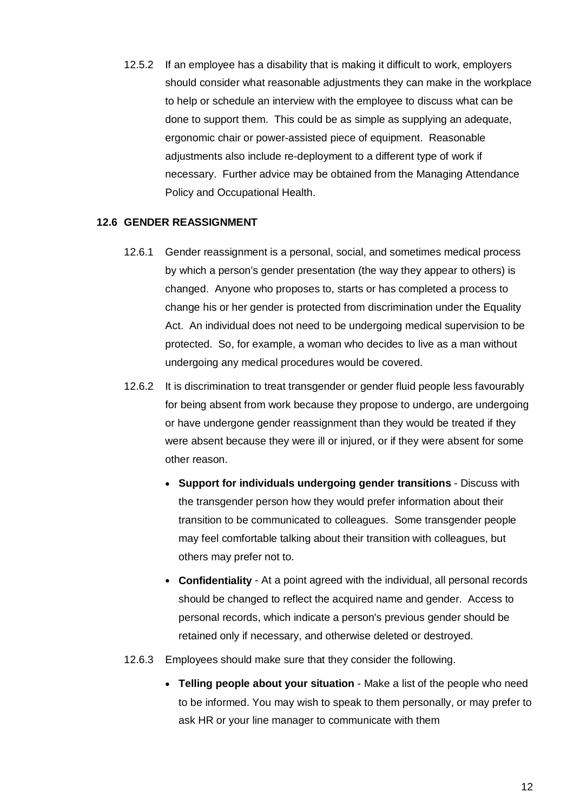12.5.2 If an employee has a disability that is making it difficult to work, employers should consider what reasonable adjustments they can make in the workplace to help or schedule an interview with the employee to discuss what can be done to support them. This could be as simple as supplying an adequate, ergonomic chair or power-assisted piece of equipment. Reasonable adjustments also include re-deployment to a different type of work if necessary. Further advice may be obtained from the Managing Attendance Policy and Occupational Health.

#### **12.6 GENDER REASSIGNMENT**

- 12.6.1 Gender reassignment is a personal, social, and sometimes medical process by which a person's gender presentation (the way they appear to others) is changed. Anyone who proposes to, starts or has completed a process to change his or her gender is protected from discrimination under the Equality Act. An individual does not need to be undergoing medical supervision to be protected. So, for example, a woman who decides to live as a man without undergoing any medical procedures would be covered.
- 12.6.2 It is discrimination to treat transgender or gender fluid people less favourably for being absent from work because they propose to undergo, are undergoing or have undergone gender reassignment than they would be treated if they were absent because they were ill or injured, or if they were absent for some other reason.
	- **Support for individuals undergoing gender transitions** Discuss with the transgender person how they would prefer information about their transition to be communicated to colleagues. Some transgender people may feel comfortable talking about their transition with colleagues, but others may prefer not to.
	- **Confidentiality** At a point agreed with the individual, all personal records should be changed to reflect the acquired name and gender. Access to personal records, which indicate a person's previous gender should be retained only if necessary, and otherwise deleted or destroyed.
- 12.6.3 Employees should make sure that they consider the following.
	- **Telling people about your situation** Make a list of the people who need to be informed. You may wish to speak to them personally, or may prefer to ask HR or your line manager to communicate with them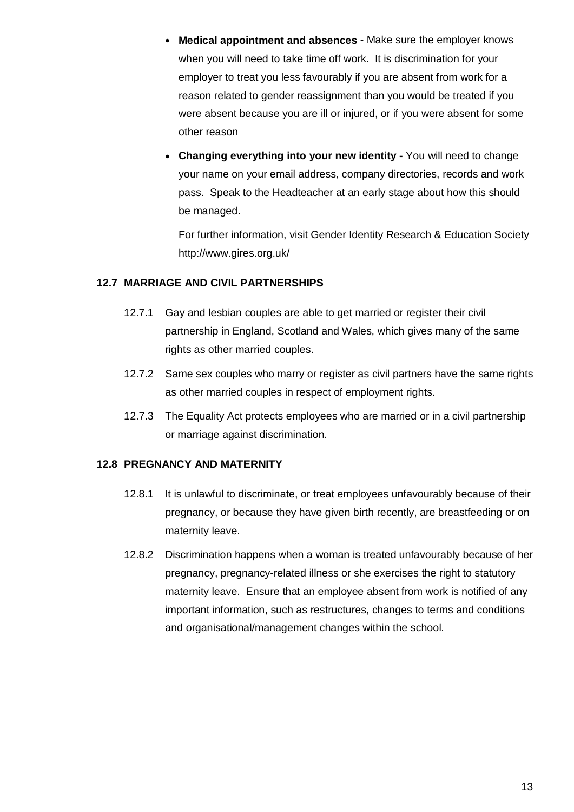- **Medical appointment and absences** Make sure the employer knows when you will need to take time off work. It is discrimination for your employer to treat you less favourably if you are absent from work for a reason related to gender reassignment than you would be treated if you were absent because you are ill or injured, or if you were absent for some other reason
- **Changing everything into your new identity -** You will need to change your name on your email address, company directories, records and work pass. Speak to the Headteacher at an early stage about how this should be managed.

For further information, visit Gender Identity Research & Education Society http://www.gires.org.uk/

# **12.7 MARRIAGE AND CIVIL PARTNERSHIPS**

- 12.7.1 Gay and lesbian couples are able to get married or register their civil partnership in England, Scotland and Wales, which gives many of the same rights as other married couples.
- 12.7.2 Same sex couples who marry or register as civil partners have the same rights as other married couples in respect of employment rights.
- 12.7.3 The Equality Act protects employees who are married or in a civil partnership or marriage against discrimination.

# **12.8 PREGNANCY AND MATERNITY**

- 12.8.1 It is unlawful to discriminate, or treat employees unfavourably because of their pregnancy, or because they have given birth recently, are breastfeeding or on maternity leave.
- 12.8.2 Discrimination happens when a woman is treated unfavourably because of her pregnancy, pregnancy-related illness or she exercises the right to statutory maternity leave. Ensure that an employee absent from work is notified of any important information, such as restructures, changes to terms and conditions and organisational/management changes within the school.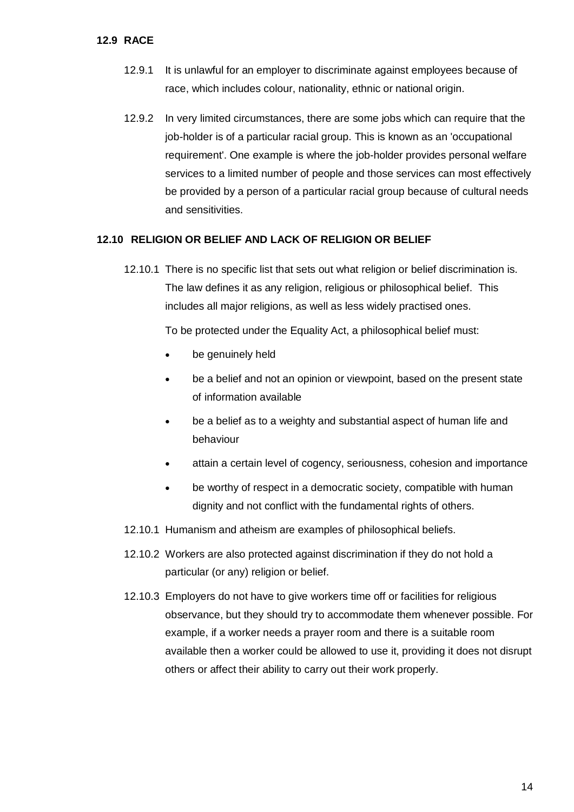#### **12.9 RACE**

- 12.9.1 It is unlawful for an employer to discriminate against employees because of race, which includes colour, nationality, ethnic or national origin.
- 12.9.2 In very limited circumstances, there are some jobs which can require that the job-holder is of a particular racial group. This is known as an 'occupational requirement'. One example is where the job-holder provides personal welfare services to a limited number of people and those services can most effectively be provided by a person of a particular racial group because of cultural needs and sensitivities.

#### **12.10 RELIGION OR BELIEF AND LACK OF RELIGION OR BELIEF**

12.10.1 There is no specific list that sets out what religion or belief discrimination is. The law defines it as any religion, religious or philosophical belief. This includes all major religions, as well as less widely practised ones.

To be protected under the Equality Act, a philosophical belief must:

- be genuinely held
- be a belief and not an opinion or viewpoint, based on the present state of information available
- be a belief as to a weighty and substantial aspect of human life and behaviour
- attain a certain level of cogency, seriousness, cohesion and importance
- be worthy of respect in a democratic society, compatible with human dignity and not conflict with the fundamental rights of others.
- 12.10.1 Humanism and atheism are examples of philosophical beliefs.
- 12.10.2 Workers are also protected against discrimination if they do not hold a particular (or any) religion or belief.
- 12.10.3 Employers do not have to give workers time off or facilities for religious observance, but they should try to accommodate them whenever possible. For example, if a worker needs a prayer room and there is a suitable room available then a worker could be allowed to use it, providing it does not disrupt others or affect their ability to carry out their work properly.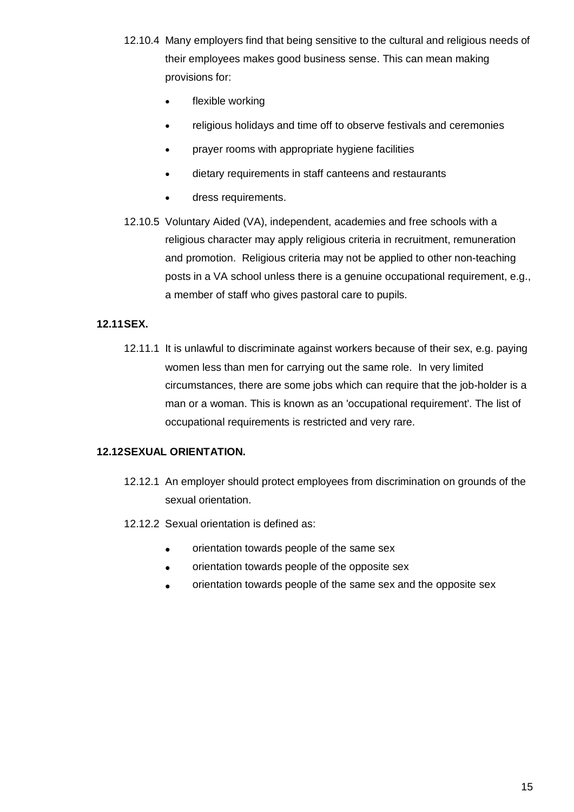- 12.10.4 Many employers find that being sensitive to the cultural and religious needs of their employees makes good business sense. This can mean making provisions for:
	- flexible working
	- religious holidays and time off to observe festivals and ceremonies
	- prayer rooms with appropriate hygiene facilities
	- dietary requirements in staff canteens and restaurants
	- dress requirements.
- 12.10.5 Voluntary Aided (VA), independent, academies and free schools with a religious character may apply religious criteria in recruitment, remuneration and promotion. Religious criteria may not be applied to other non-teaching posts in a VA school unless there is a genuine occupational requirement, e.g., a member of staff who gives pastoral care to pupils.

# **12.11SEX.**

12.11.1 It is unlawful to discriminate against workers because of their sex, e.g. paying women less than men for carrying out the same role. In very limited circumstances, there are some jobs which can require that the job-holder is a man or a woman. This is known as an 'occupational requirement'. The list of occupational requirements is restricted and very rare.

# **12.12SEXUAL ORIENTATION.**

- 12.12.1 An employer should protect employees from discrimination on grounds of the sexual orientation.
- 12.12.2 Sexual orientation is defined as:
	- orientation towards people of the same sex
	- orientation towards people of the opposite sex
	- orientation towards people of the same sex and the opposite sex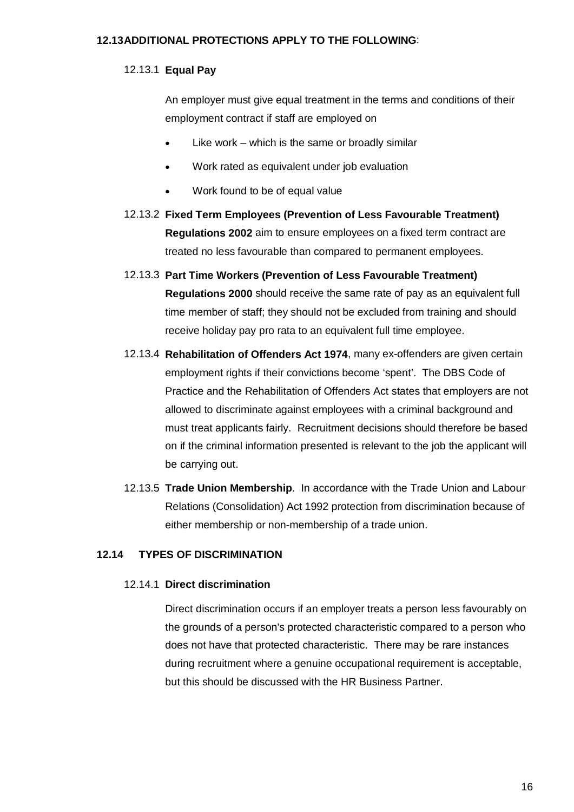## **12.13ADDITIONAL PROTECTIONS APPLY TO THE FOLLOWING**:

# 12.13.1 **Equal Pay**

An employer must give equal treatment in the terms and conditions of their employment contract if staff are employed on

- Like work which is the same or broadly similar
- Work rated as equivalent under job evaluation
- Work found to be of equal value
- 12.13.2 **Fixed Term Employees (Prevention of Less Favourable Treatment) Regulations 2002** aim to ensure employees on a fixed term contract are treated no less favourable than compared to permanent employees.
- 12.13.3 **Part Time Workers (Prevention of Less Favourable Treatment) Regulations 2000** should receive the same rate of pay as an equivalent full time member of staff; they should not be excluded from training and should receive holiday pay pro rata to an equivalent full time employee.
- 12.13.4 **Rehabilitation of Offenders Act 1974**, many ex-offenders are given certain employment rights if their convictions become 'spent'. The DBS Code of Practice and the Rehabilitation of Offenders Act states that employers are not allowed to discriminate against employees with a criminal background and must treat applicants fairly. Recruitment decisions should therefore be based on if the criminal information presented is relevant to the job the applicant will be carrying out.
- 12.13.5 **Trade Union Membership**. In accordance with the Trade Union and Labour Relations (Consolidation) Act 1992 protection from discrimination because of either membership or non-membership of a trade union.

# **12.14 TYPES OF DISCRIMINATION**

#### 12.14.1 **Direct discrimination**

Direct discrimination occurs if an employer treats a person less favourably on the grounds of a person's protected characteristic compared to a person who does not have that protected characteristic. There may be rare instances during recruitment where a genuine occupational requirement is acceptable, but this should be discussed with the HR Business Partner.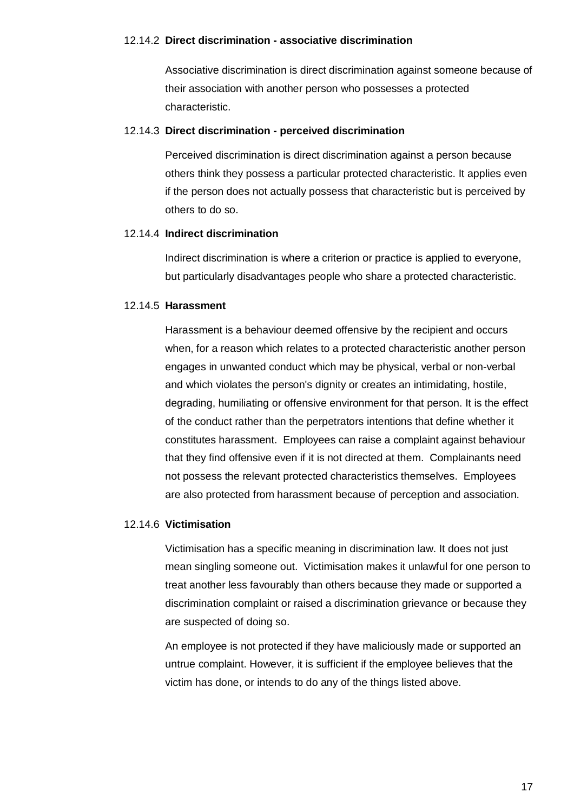#### 12.14.2 **Direct discrimination - associative discrimination**

Associative discrimination is direct discrimination against someone because of their association with another person who possesses a protected characteristic.

#### 12.14.3 **Direct discrimination - perceived discrimination**

Perceived discrimination is direct discrimination against a person because others think they possess a particular protected characteristic. It applies even if the person does not actually possess that characteristic but is perceived by others to do so.

#### 12.14.4 **Indirect discrimination**

Indirect discrimination is where a criterion or practice is applied to everyone, but particularly disadvantages people who share a protected characteristic.

#### 12.14.5 **Harassment**

Harassment is a behaviour deemed offensive by the recipient and occurs when, for a reason which relates to a protected characteristic another person engages in unwanted conduct which may be physical, verbal or non-verbal and which violates the person's dignity or creates an intimidating, hostile, degrading, humiliating or offensive environment for that person. It is the effect of the conduct rather than the perpetrators intentions that define whether it constitutes harassment. Employees can raise a complaint against behaviour that they find offensive even if it is not directed at them. Complainants need not possess the relevant protected characteristics themselves. Employees are also protected from harassment because of perception and association.

#### 12.14.6 **Victimisation**

Victimisation has a specific meaning in discrimination law. It does not just mean singling someone out. Victimisation makes it unlawful for one person to treat another less favourably than others because they made or supported a discrimination complaint or raised a discrimination grievance or because they are suspected of doing so.

An employee is not protected if they have maliciously made or supported an untrue complaint. However, it is sufficient if the employee believes that the victim has done, or intends to do any of the things listed above.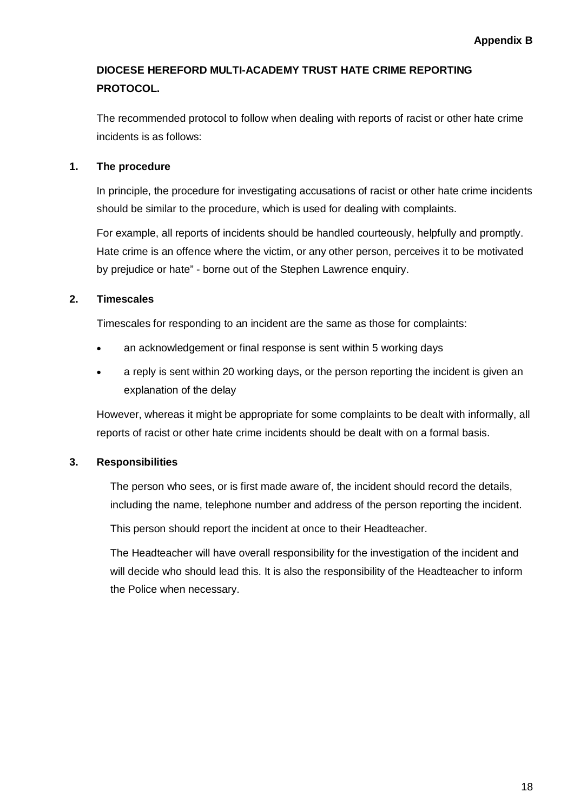# **DIOCESE HEREFORD MULTI-ACADEMY TRUST HATE CRIME REPORTING PROTOCOL.**

The recommended protocol to follow when dealing with reports of racist or other hate crime incidents is as follows:

# **1. [The procedure](http://staff.shropshire.gov.uk/policies-and-guidance/hr-and-payroll/hate-crime-reporting-protocol/)**

In principle, the procedure for investigating accusations of racist or other hate crime incidents should be similar to the procedure, which is used for dealing with complaints.

For example, all reports of incidents should be handled courteously, helpfully and promptly. Hate crime is an offence where the victim, or any other person, perceives it to be motivated by prejudice or hate" - borne out of the Stephen Lawrence enquiry.

# **[2. Timescales](http://staff.shropshire.gov.uk/policies-and-guidance/hr-and-payroll/hate-crime-reporting-protocol/)**

Timescales for responding to an incident are the same as those for complaints:

- an acknowledgement or final response is sent within 5 working days
- a reply is sent within 20 working days, or the person reporting the incident is given an explanation of the delay

However, whereas it might be appropriate for some complaints to be dealt with informally, all reports of racist or other hate crime incidents should be dealt with on a formal basis.

# **3. [Responsibilities](http://staff.shropshire.gov.uk/policies-and-guidance/hr-and-payroll/hate-crime-reporting-protocol/)**

The person who sees, or is first made aware of, the incident should record the details, including the name, telephone number and address of the person reporting the incident.

This person should report the incident at once to their Headteacher.

The Headteacher will have overall responsibility for the investigation of the incident and will decide who should lead this. It is also the responsibility of the Headteacher to inform the Police when necessary.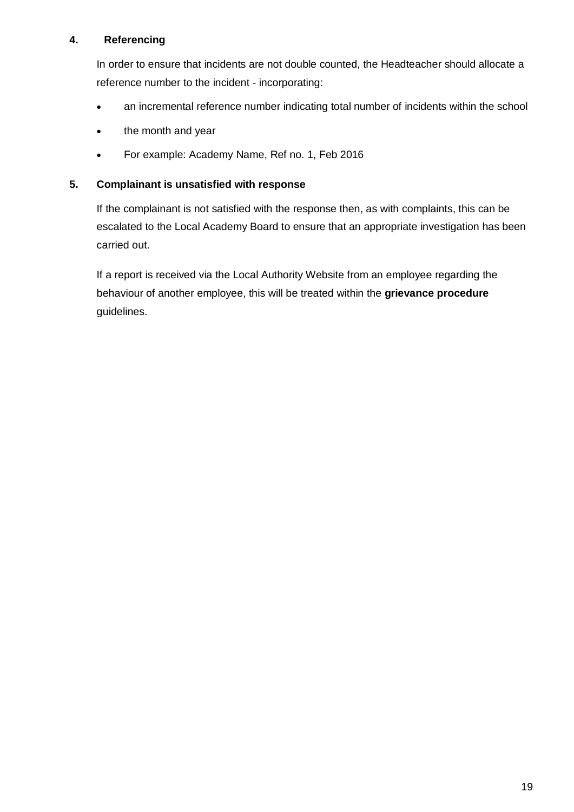# **4. [Referencing](http://staff.shropshire.gov.uk/policies-and-guidance/hr-and-payroll/hate-crime-reporting-protocol/)**

In order to ensure that incidents are not double counted, the Headteacher should allocate a reference number to the incident - incorporating:

- an incremental reference number indicating total number of incidents within the school
- the month and year
- For example: Academy Name, Ref no. 1, Feb 2016

# **[5. Complainant is unsatisfied with response](http://staff.shropshire.gov.uk/policies-and-guidance/hr-and-payroll/hate-crime-reporting-protocol/)**

If the complainant is not satisfied with the response then, as with complaints, this can be escalated to the Local Academy Board to ensure that an appropriate investigation has been carried out.

If a report is received via the Local Authority Website from an employee regarding the behaviour of another employee, this will be treated within the **[grievance procedure](http://staff.shropshire.gov.uk/policies-and-guidance/hr-and-payroll/grievance-policy-and-procedure/)** guidelines.